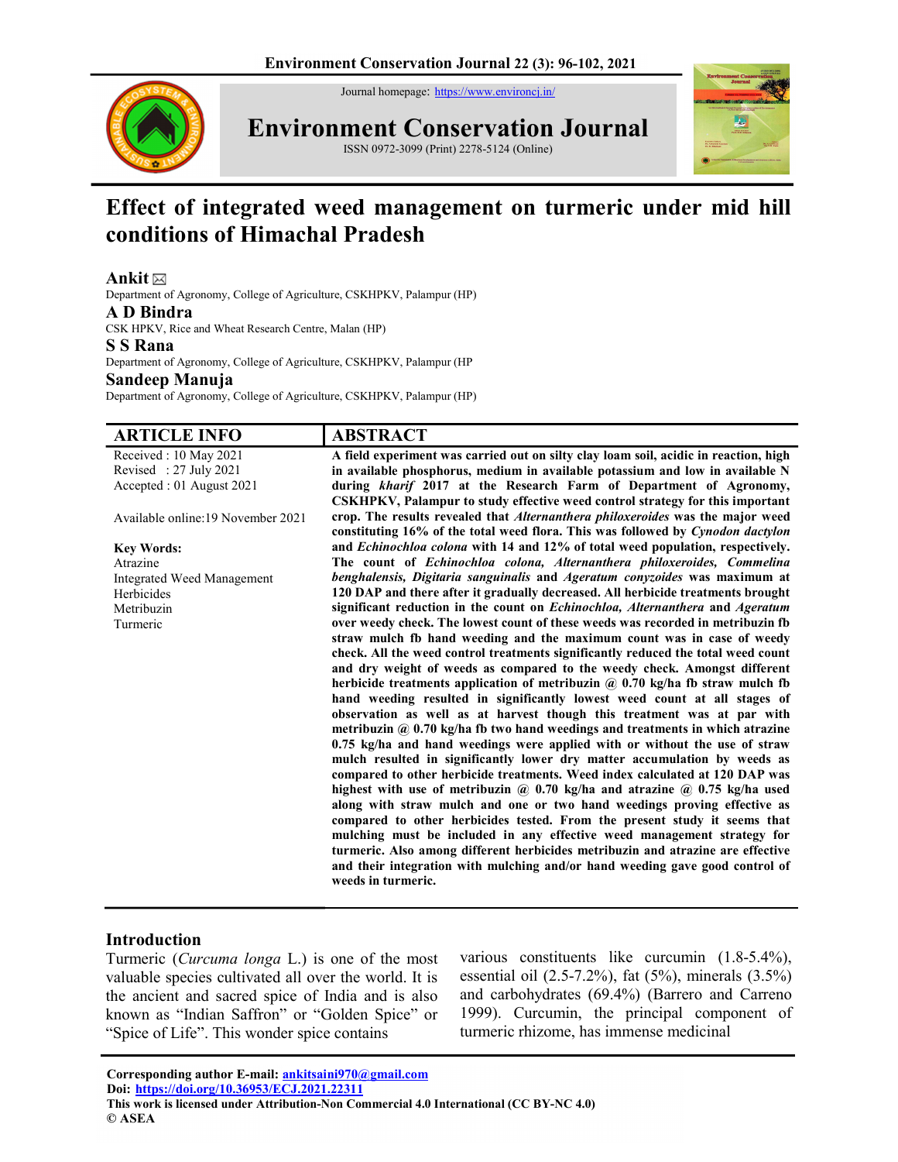Journal homepage: https://www.environcj.in/



Environment Conservation Journal ISSN 0972-3099 (Print) 2278-5124 (Online)



# Effect of integrated weed management on turmeric under mid hill conditions of Himachal Pradesh

# Ankit $\boxtimes$

Department of Agronomy, College of Agriculture, CSKHPKV, Palampur (HP)

#### A D Bindra

CSK HPKV, Rice and Wheat Research Centre, Malan (HP)

### S S Rana

Department of Agronomy, College of Agriculture, CSKHPKV, Palampur (HP Sandeep Manuja

Department of Agronomy, College of Agriculture, CSKHPKV, Palampur (HP)

A DTICLE INFO A DETDACT

| ANTIULE INFU                      | ADƏLIMLI                                                                                            |
|-----------------------------------|-----------------------------------------------------------------------------------------------------|
| Received: 10 May 2021             | A field experiment was carried out on silty clay loam soil, acidic in reaction, high                |
| Revised: 27 July 2021             | in available phosphorus, medium in available potassium and low in available N                       |
| Accepted : 01 August 2021         | during kharif 2017 at the Research Farm of Department of Agronomy,                                  |
|                                   | CSKHPKV, Palampur to study effective weed control strategy for this important                       |
| Available online:19 November 2021 | crop. The results revealed that <i>Alternanthera philoxeroides</i> was the major weed               |
|                                   | constituting 16% of the total weed flora. This was followed by Cynodon dactylon                     |
| <b>Key Words:</b>                 | and Echinochloa colona with 14 and 12% of total weed population, respectively.                      |
| Atrazine                          | The count of Echinochloa colona, Alternanthera philoxeroides, Commelina                             |
| Integrated Weed Management        | benghalensis, Digitaria sanguinalis and Ageratum conyzoides was maximum at                          |
| Herbicides                        | 120 DAP and there after it gradually decreased. All herbicide treatments brought                    |
| Metribuzin                        | significant reduction in the count on <i>Echinochloa</i> , <i>Alternanthera</i> and <i>Ageratum</i> |
| Turmeric                          | over weedy check. The lowest count of these weeds was recorded in metribuzin fb                     |
|                                   | straw mulch fb hand weeding and the maximum count was in case of weedy                              |
|                                   | check. All the weed control treatments significantly reduced the total weed count                   |
|                                   | and dry weight of weeds as compared to the weedy check. Amongst different                           |
|                                   | herbicide treatments application of metribuzin $\hat{a}$ 0.70 kg/ha fb straw mulch fb               |
|                                   | hand weeding resulted in significantly lowest weed count at all stages of                           |
|                                   | observation as well as at harvest though this treatment was at par with                             |
|                                   | metribuzin $\omega$ 0.70 kg/ha fb two hand weedings and treatments in which atrazine                |
|                                   | 0.75 kg/ha and hand weedings were applied with or without the use of straw                          |
|                                   | mulch resulted in significantly lower dry matter accumulation by weeds as                           |
|                                   | compared to other herbicide treatments. Weed index calculated at 120 DAP was                        |
|                                   | highest with use of metribuzin $\omega$ 0.70 kg/ha and atrazine $\omega$ 0.75 kg/ha used            |
|                                   | along with straw mulch and one or two hand weedings proving effective as                            |
|                                   | compared to other herbicides tested. From the present study it seems that                           |
|                                   | mulching must be included in any effective weed management strategy for                             |
|                                   | turmeric. Also among different herbicides metribuzin and atrazine are effective                     |
|                                   | and their integration with mulching and/or hand weeding gave good control of                        |
|                                   | weeds in turmeric.                                                                                  |
|                                   |                                                                                                     |

# Introduction

Turmeric (Curcuma longa L.) is one of the most valuable species cultivated all over the world. It is the ancient and sacred spice of India and is also known as "Indian Saffron" or "Golden Spice" or "Spice of Life". This wonder spice contains

various constituents like curcumin (1.8-5.4%), essential oil (2.5-7.2%), fat (5%), minerals (3.5%) and carbohydrates (69.4%) (Barrero and Carreno 1999). Curcumin, the principal component of turmeric rhizome, has immense medicinal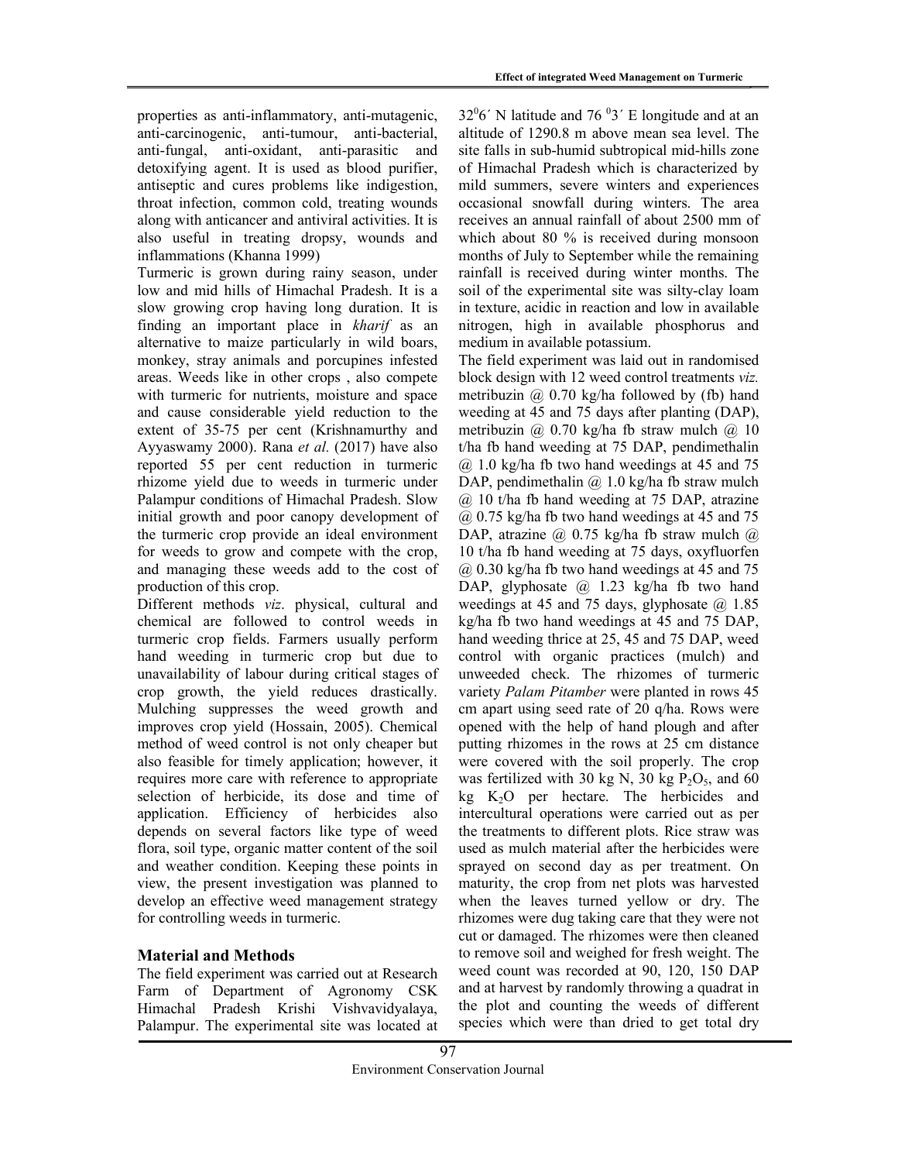properties as anti-inflammatory, anti-mutagenic, anti-carcinogenic, anti-tumour, anti-bacterial, anti-fungal, anti-oxidant, anti-parasitic and detoxifying agent. It is used as blood purifier, antiseptic and cures problems like indigestion, throat infection, common cold, treating wounds along with anticancer and antiviral activities. It is also useful in treating dropsy, wounds and inflammations (Khanna 1999)

Turmeric is grown during rainy season, under low and mid hills of Himachal Pradesh. It is a slow growing crop having long duration. It is finding an important place in kharif as an alternative to maize particularly in wild boars, monkey, stray animals and porcupines infested areas. Weeds like in other crops , also compete with turmeric for nutrients, moisture and space and cause considerable yield reduction to the extent of 35-75 per cent (Krishnamurthy and Ayyaswamy 2000). Rana et al. (2017) have also reported 55 per cent reduction in turmeric rhizome yield due to weeds in turmeric under Palampur conditions of Himachal Pradesh. Slow initial growth and poor canopy development of the turmeric crop provide an ideal environment for weeds to grow and compete with the crop, and managing these weeds add to the cost of production of this crop.

Different methods viz. physical, cultural and chemical are followed to control weeds in turmeric crop fields. Farmers usually perform hand weeding in turmeric crop but due to unavailability of labour during critical stages of crop growth, the yield reduces drastically. Mulching suppresses the weed growth and improves crop yield (Hossain, 2005). Chemical method of weed control is not only cheaper but also feasible for timely application; however, it requires more care with reference to appropriate selection of herbicide, its dose and time of application. Efficiency of herbicides also depends on several factors like type of weed flora, soil type, organic matter content of the soil and weather condition. Keeping these points in view, the present investigation was planned to develop an effective weed management strategy for controlling weeds in turmeric.

# Material and Methods

The field experiment was carried out at Research Farm of Department of Agronomy CSK Himachal Pradesh Krishi Vishvavidyalaya, Palampur. The experimental site was located at  $32\degree$ 6<sup> $\degree$ </sup> N latitude and 76  $\degree$ 3<sup> $\degree$ </sup> E longitude and at an altitude of 1290.8 m above mean sea level. The site falls in sub-humid subtropical mid-hills zone of Himachal Pradesh which is characterized by mild summers, severe winters and experiences occasional snowfall during winters. The area receives an annual rainfall of about 2500 mm of which about 80 % is received during monsoon months of July to September while the remaining rainfall is received during winter months. The soil of the experimental site was silty-clay loam in texture, acidic in reaction and low in available nitrogen, high in available phosphorus and medium in available potassium.

The field experiment was laid out in randomised block design with 12 weed control treatments viz. metribuzin @ 0.70 kg/ha followed by (fb) hand weeding at 45 and 75 days after planting (DAP), metribuzin  $\omega$  0.70 kg/ha fb straw mulch  $\omega$  10 t/ha fb hand weeding at 75 DAP, pendimethalin  $(a)$  1.0 kg/ha fb two hand weedings at 45 and 75 DAP, pendimethalin  $\omega$  1.0 kg/ha fb straw mulch @ 10 t/ha fb hand weeding at 75 DAP, atrazine  $(a)$  0.75 kg/ha fb two hand weedings at 45 and 75 DAP, atrazine  $\omega$  0.75 kg/ha fb straw mulch  $\omega$ 10 t/ha fb hand weeding at 75 days, oxyfluorfen  $(a)$  0.30 kg/ha fb two hand weedings at 45 and 75 DAP, glyphosate @ 1.23 kg/ha fb two hand weedings at 45 and 75 days, glyphosate  $(\hat{a})$  1.85 kg/ha fb two hand weedings at 45 and 75 DAP, hand weeding thrice at 25, 45 and 75 DAP, weed control with organic practices (mulch) and unweeded check. The rhizomes of turmeric variety Palam Pitamber were planted in rows 45 cm apart using seed rate of 20 q/ha. Rows were opened with the help of hand plough and after putting rhizomes in the rows at 25 cm distance were covered with the soil properly. The crop was fertilized with 30 kg N, 30 kg  $P_2O_5$ , and 60 kg  $K<sub>2</sub>O$  per hectare. The herbicides and intercultural operations were carried out as per the treatments to different plots. Rice straw was used as mulch material after the herbicides were sprayed on second day as per treatment. On maturity, the crop from net plots was harvested when the leaves turned yellow or dry. The rhizomes were dug taking care that they were not cut or damaged. The rhizomes were then cleaned to remove soil and weighed for fresh weight. The weed count was recorded at 90, 120, 150 DAP and at harvest by randomly throwing a quadrat in the plot and counting the weeds of different species which were than dried to get total dry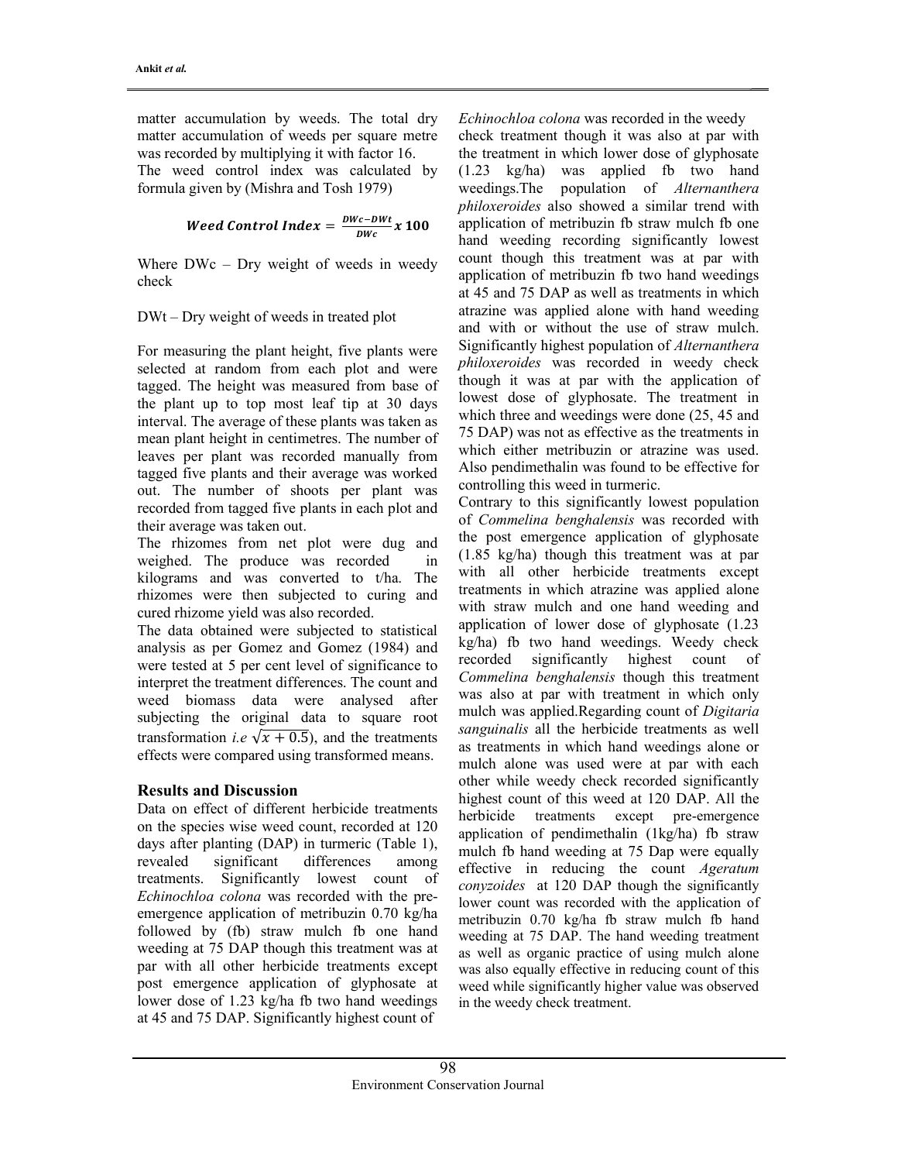matter accumulation by weeds. The total dry matter accumulation of weeds per square metre was recorded by multiplying it with factor 16.

The weed control index was calculated by formula given by (Mishra and Tosh 1979)

*Weed Control Index* = 
$$
\frac{DWC - DWt}{DWC}x 100
$$

Where DWc – Dry weight of weeds in weedy check

# DWt – Dry weight of weeds in treated plot

For measuring the plant height, five plants were selected at random from each plot and were tagged. The height was measured from base of the plant up to top most leaf tip at 30 days interval. The average of these plants was taken as mean plant height in centimetres. The number of leaves per plant was recorded manually from tagged five plants and their average was worked out. The number of shoots per plant was recorded from tagged five plants in each plot and their average was taken out.

The rhizomes from net plot were dug and weighed. The produce was recorded in kilograms and was converted to t/ha. The rhizomes were then subjected to curing and cured rhizome yield was also recorded.

The data obtained were subjected to statistical analysis as per Gomez and Gomez (1984) and were tested at 5 per cent level of significance to interpret the treatment differences. The count and weed biomass data were analysed after subjecting the original data to square root transformation *i.e*  $\sqrt{x + 0.5}$ , and the treatments effects were compared using transformed means.

# Results and Discussion

Data on effect of different herbicide treatments on the species wise weed count, recorded at 120 days after planting (DAP) in turmeric (Table 1), revealed significant differences among treatments. Significantly lowest count of Echinochloa colona was recorded with the preemergence application of metribuzin 0.70 kg/ha followed by (fb) straw mulch fb one hand weeding at 75 DAP though this treatment was at par with all other herbicide treatments except post emergence application of glyphosate at lower dose of 1.23 kg/ha fb two hand weedings at 45 and 75 DAP. Significantly highest count of

Echinochloa colona was recorded in the weedy check treatment though it was also at par with the treatment in which lower dose of glyphosate (1.23 kg/ha) was applied fb two hand weedings.The population of Alternanthera philoxeroides also showed a similar trend with application of metribuzin fb straw mulch fb one hand weeding recording significantly lowest count though this treatment was at par with application of metribuzin fb two hand weedings at 45 and 75 DAP as well as treatments in which atrazine was applied alone with hand weeding and with or without the use of straw mulch. Significantly highest population of Alternanthera philoxeroides was recorded in weedy check though it was at par with the application of lowest dose of glyphosate. The treatment in which three and weedings were done (25, 45 and 75 DAP) was not as effective as the treatments in which either metribuzin or atrazine was used. Also pendimethalin was found to be effective for controlling this weed in turmeric.

Contrary to this significantly lowest population of Commelina benghalensis was recorded with the post emergence application of glyphosate (1.85 kg/ha) though this treatment was at par with all other herbicide treatments except treatments in which atrazine was applied alone with straw mulch and one hand weeding and application of lower dose of glyphosate (1.23 kg/ha) fb two hand weedings. Weedy check recorded significantly highest count of Commelina benghalensis though this treatment was also at par with treatment in which only mulch was applied.Regarding count of Digitaria sanguinalis all the herbicide treatments as well as treatments in which hand weedings alone or mulch alone was used were at par with each other while weedy check recorded significantly highest count of this weed at 120 DAP. All the herbicide treatments except pre-emergence application of pendimethalin (1kg/ha) fb straw mulch fb hand weeding at 75 Dap were equally effective in reducing the count Ageratum conyzoides at 120 DAP though the significantly lower count was recorded with the application of metribuzin 0.70 kg/ha fb straw mulch fb hand weeding at 75 DAP. The hand weeding treatment as well as organic practice of using mulch alone was also equally effective in reducing count of this weed while significantly higher value was observed in the weedy check treatment.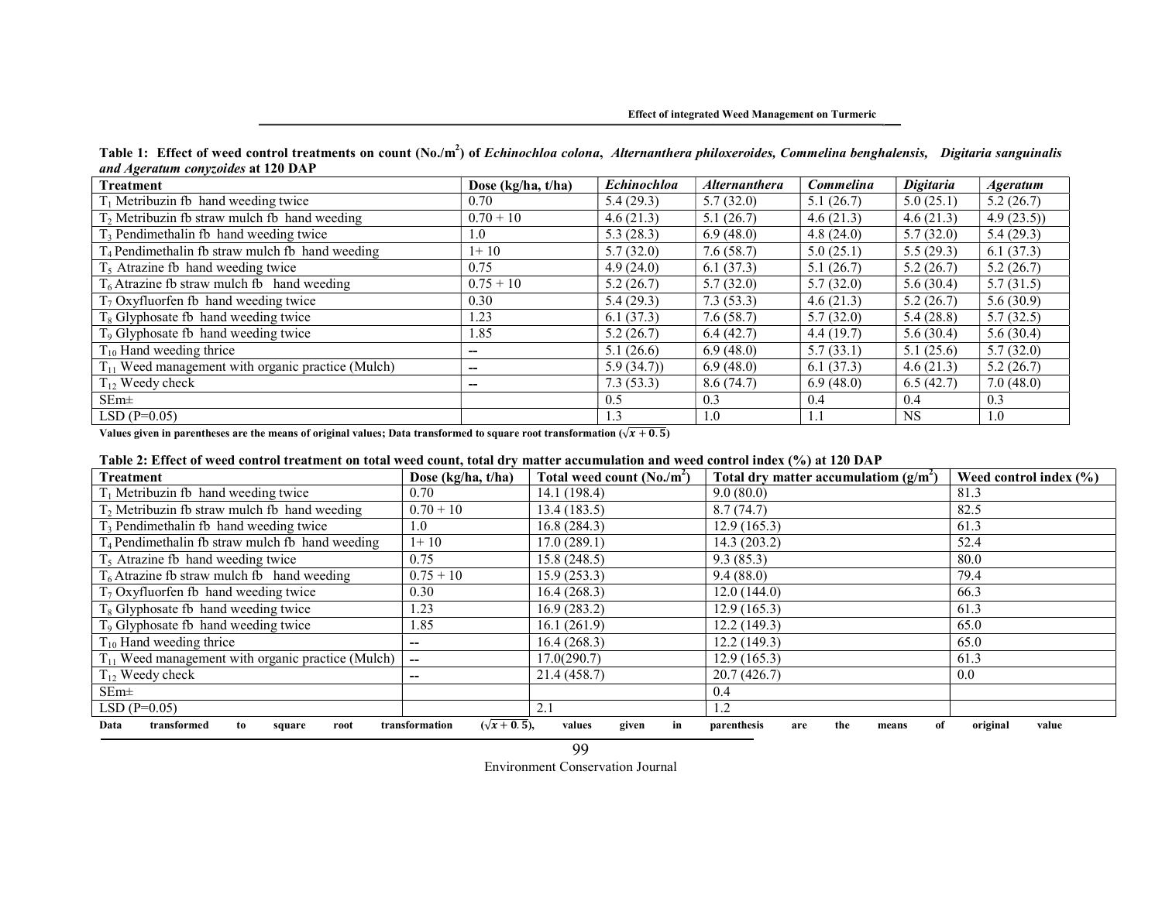#### Effect of integrated Weed Management on Turmeric

| Table 1: Effect of weed control treatments on count (No./m <sup>2</sup> ) of Echinochloa colona, Alternanthera philoxeroides, Commelina benghalensis, Digitaria sanguinalis |  |
|-----------------------------------------------------------------------------------------------------------------------------------------------------------------------------|--|
| and Ageratum conyzoides at 120 DAP                                                                                                                                          |  |

| Treatment                                                   | Dose ( $kg/ha, t/ha$ ) | Echinochloa | <b>Alternanthera</b> | Commelina | <b>Digitaria</b> | <i><b>Ageratum</b></i> |
|-------------------------------------------------------------|------------------------|-------------|----------------------|-----------|------------------|------------------------|
| $T_1$ Metribuzin fb hand weeding twice                      | 0.70                   | 5.4(29.3)   | 5.7(32.0)            | 5.1(26.7) | 5.0(25.1)        | 5.2(26.7)              |
| $T_2$ Metribuzin fb straw mulch fb hand weeding             | $0.70 + 10$            | 4.6(21.3)   | 5.1(26.7)            | 4.6(21.3) | 4.6(21.3)        | 4.9(23.5)              |
| $T_3$ Pendimethalin fb hand weeding twice                   | 1.0                    | 5.3(28.3)   | 6.9(48.0)            | 4.8(24.0) | 5.7(32.0)        | 5.4(29.3)              |
| T <sub>4</sub> Pendimethalin fb straw mulch fb hand weeding | $1+10$                 | 5.7(32.0)   | 7.6(58.7)            | 5.0(25.1) | 5.5(29.3)        | 6.1(37.3)              |
| $T5$ Atrazine fb hand weeding twice                         | 0.75                   | 4.9(24.0)   | 6.1(37.3)            | 5.1(26.7) | 5.2(26.7)        | 5.2(26.7)              |
| $T_6$ Atrazine fb straw mulch fb hand weeding               | $0.75 + 10$            | 5.2(26.7)   | 5.7(32.0)            | 5.7(32.0) | 5.6(30.4)        | 5.7(31.5)              |
| $T_7$ Oxyfluorfen fb hand weeding twice                     | 0.30                   | 5.4(29.3)   | 7.3(53.3)            | 4.6(21.3) | 5.2(26.7)        | 5.6(30.9)              |
| $T_8$ Glyphosate fb hand weeding twice                      | 1.23                   | 6.1(37.3)   | 7.6(58.7)            | 5.7(32.0) | 5.4(28.8)        | 5.7(32.5)              |
| T <sub>9</sub> Glyphosate fb hand weeding twice             | 1.85                   | 5.2(26.7)   | 6.4(42.7)            | 4.4(19.7) | 5.6(30.4)        | 5.6(30.4)              |
| $T_{10}$ Hand weeding thrice                                | --                     | 5.1(26.6)   | 6.9(48.0)            | 5.7(33.1) | 5.1(25.6)        | 5.7(32.0)              |
| $T_{11}$ Weed management with organic practice (Mulch)      | --                     | 5.9(34.7)   | 6.9(48.0)            | 6.1(37.3) | 4.6(21.3)        | 5.2(26.7)              |
| $T_{12}$ Weedy check                                        | --                     | 7.3(53.3)   | 8.6(74.7)            | 6.9(48.0) | 6.5(42.7)        | 7.0(48.0)              |
| $SEm\pm$                                                    |                        | 0.5         | 0.3                  | 0.4       | 0.4              | 0.3                    |
| $LSD(P=0.05)$                                               |                        | 1.3         | 1.0                  | 1.1       | <b>NS</b>        | 1.0                    |

Values given in parentheses are the means of original values; Data transformed to square root transformation ( $\sqrt{x + 0.5}$ )

#### Table 2: Effect of weed control treatment on total weed count, total dry matter accumulation and weed control index (%) at 120 DAP

| <b>Treatment</b>                                                                                                                                                              | Dose (kg/ha, t/ha)       | Total weed count $(N_0/m^2)$ | Total dry matter accumulatiom $(g/m^2)$ | Weed control index $(\% )$ |  |  |
|-------------------------------------------------------------------------------------------------------------------------------------------------------------------------------|--------------------------|------------------------------|-----------------------------------------|----------------------------|--|--|
| $T_1$ Metribuzin fb hand weeding twice                                                                                                                                        | 0.70                     | 14.1 (198.4)                 | 9.0(80.0)                               | 81.3                       |  |  |
| $T2$ Metribuzin fb straw mulch fb hand weeding                                                                                                                                | $0.70 + 10$              | 13.4(183.5)                  | 8.7(74.7)                               | 82.5                       |  |  |
| $T3$ Pendimethalin fb hand weeding twice                                                                                                                                      | 1.0                      | 16.8(284.3)                  | 12.9(165.3)                             | 61.3                       |  |  |
| $T_4$ Pendimethalin fb straw mulch fb hand weeding                                                                                                                            | $1+10$                   | 17.0(289.1)                  | 14.3(203.2)                             | 52.4                       |  |  |
| $T5$ Atrazine fb hand weeding twice                                                                                                                                           | 0.75                     | 15.8 (248.5)                 | 9.3(85.3)                               | 80.0                       |  |  |
| $T_6$ Atrazine fb straw mulch fb hand weeding                                                                                                                                 | $0.75 + 10$              | 15.9(253.3)                  | 9.4(88.0)                               | 79.4                       |  |  |
| $T_7$ Oxyfluorfen fb hand weeding twice                                                                                                                                       | 0.30                     | 16.4(268.3)                  | 12.0(144.0)                             | 66.3                       |  |  |
| $T_8$ Glyphosate fb hand weeding twice                                                                                                                                        | . 23                     | 16.9(283.2)                  | 12.9(165.3)                             | 61.3                       |  |  |
| T <sub>9</sub> Glyphosate fb hand weeding twice                                                                                                                               | 1.85                     | 16.1(261.9)                  | 12.2(149.3)                             | 65.0                       |  |  |
| $T_{10}$ Hand weeding thrice                                                                                                                                                  | --                       | 16.4(268.3)                  | 12.2(149.3)                             | 65.0                       |  |  |
| $T_{11}$ Weed management with organic practice (Mulch)                                                                                                                        | $\overline{\phantom{a}}$ | 17.0(290.7)                  | 12.9(165.3)                             | 61.3                       |  |  |
| $T_{12}$ Weedy check                                                                                                                                                          | --                       | 21.4 (458.7)                 | 20.7(426.7)                             | 0.0                        |  |  |
| $SEm\pm$                                                                                                                                                                      |                          |                              | 0.4                                     |                            |  |  |
| $LSD(P=0.05)$                                                                                                                                                                 |                          | 2.1                          | $\cdot$ .2                              |                            |  |  |
| $(\sqrt{x+0.5})$ ,<br>given<br>original<br>parenthesis<br>value<br>Data<br>transformation<br>values<br>transformed<br>the<br>root<br>in<br>are<br>to<br>means<br>square<br>0Ī |                          |                              |                                         |                            |  |  |

Environment Conservation Journal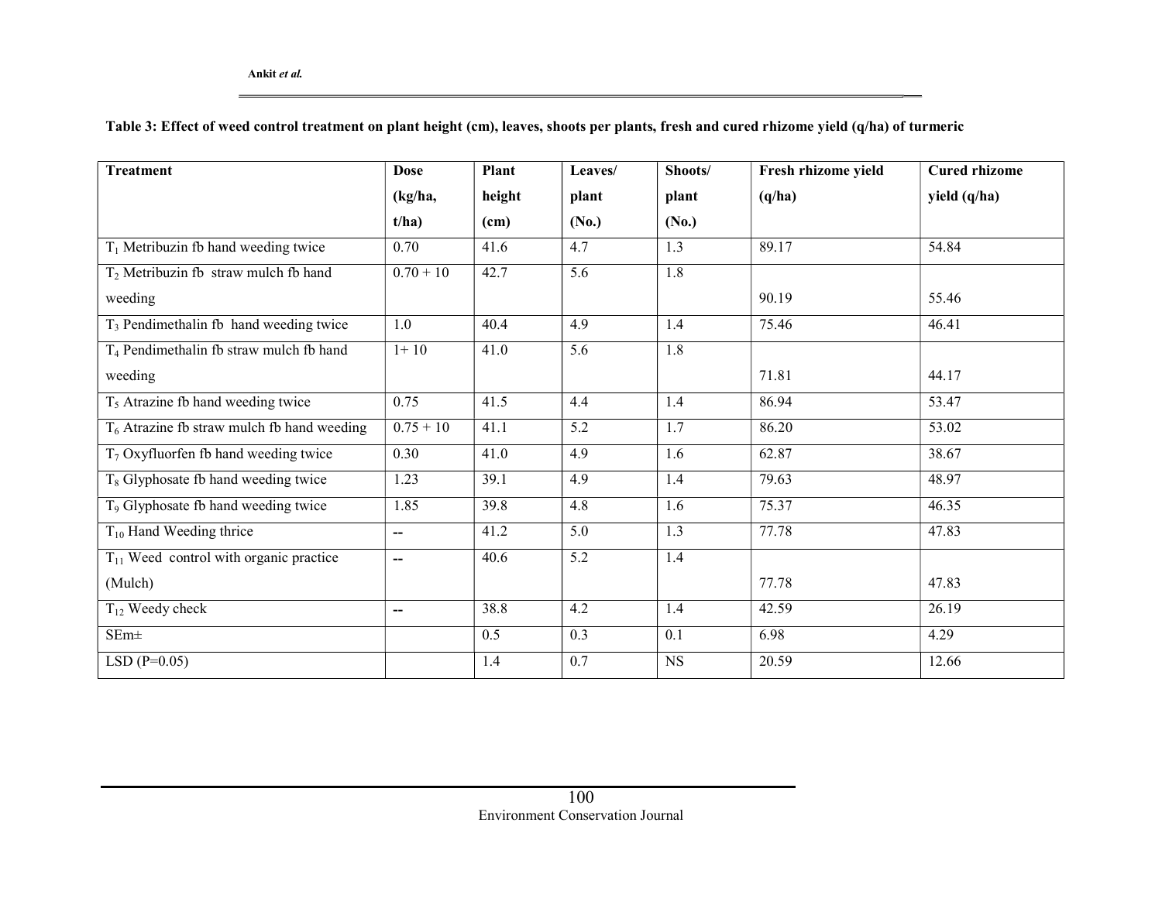Table 3: Effect of weed control treatment on plant height (cm), leaves, shoots per plants, fresh and cured rhizome yield (q/ha) of turmeric

| <b>Treatment</b>                                    | <b>Dose</b> | Plant  | Leaves/ | Shoots/          | Fresh rhizome yield | <b>Cured rhizome</b> |
|-----------------------------------------------------|-------------|--------|---------|------------------|---------------------|----------------------|
|                                                     | (kg/ha,     | height | plant   | plant            | (q/ha)              | yield (q/ha)         |
|                                                     | t/ha)       | (cm)   | (No.)   | (No.)            |                     |                      |
| $T_1$ Metribuzin fb hand weeding twice              | 0.70        | 41.6   | 4.7     | 1.3              | 89.17               | 54.84                |
| $T_2$ Metribuzin fb straw mulch fb hand             | $0.70 + 10$ | 42.7   | 5.6     | $\overline{1.8}$ |                     |                      |
| weeding                                             |             |        |         |                  | 90.19               | 55.46                |
| T <sub>3</sub> Pendimethalin fb hand weeding twice  | 1.0         | 40.4   | 4.9     | 1.4              | 75.46               | 46.41                |
| T <sub>4</sub> Pendimethalin fb straw mulch fb hand | $1+10$      | 41.0   | 5.6     | 1.8              |                     |                      |
| weeding                                             |             |        |         |                  | 71.81               | 44.17                |
| $T5$ Atrazine fb hand weeding twice                 | 0.75        | 41.5   | 4.4     | 1.4              | 86.94               | 53.47                |
| $T_6$ Atrazine fb straw mulch fb hand weeding       | $0.75 + 10$ | 41.1   | 5.2     | 1.7              | 86.20               | 53.02                |
| $T_7$ Oxyfluorfen fb hand weeding twice             | 0.30        | 41.0   | 4.9     | 1.6              | 62.87               | 38.67                |
| $T_8$ Glyphosate fb hand weeding twice              | 1.23        | 39.1   | 4.9     | 1.4              | 79.63               | 48.97                |
| T <sub>9</sub> Glyphosate fb hand weeding twice     | 1.85        | 39.8   | 4.8     | 1.6              | 75.37               | 46.35                |
| $T_{10}$ Hand Weeding thrice                        | --          | 41.2   | 5.0     | 1.3              | 77.78               | 47.83                |
| $T11$ Weed control with organic practice            | --          | 40.6   | 5.2     | 1.4              |                     |                      |
| (Mulch)                                             |             |        |         |                  | 77.78               | 47.83                |
| $T_{12}$ Weedy check                                | $-$         | 38.8   | 4.2     | 1.4              | 42.59               | 26.19                |
| $SEm\pm$                                            |             | 0.5    | 0.3     | 0.1              | 6.98                | 4.29                 |
| LSD $(P=0.05)$                                      |             | 1.4    | 0.7     | <b>NS</b>        | 20.59               | 12.66                |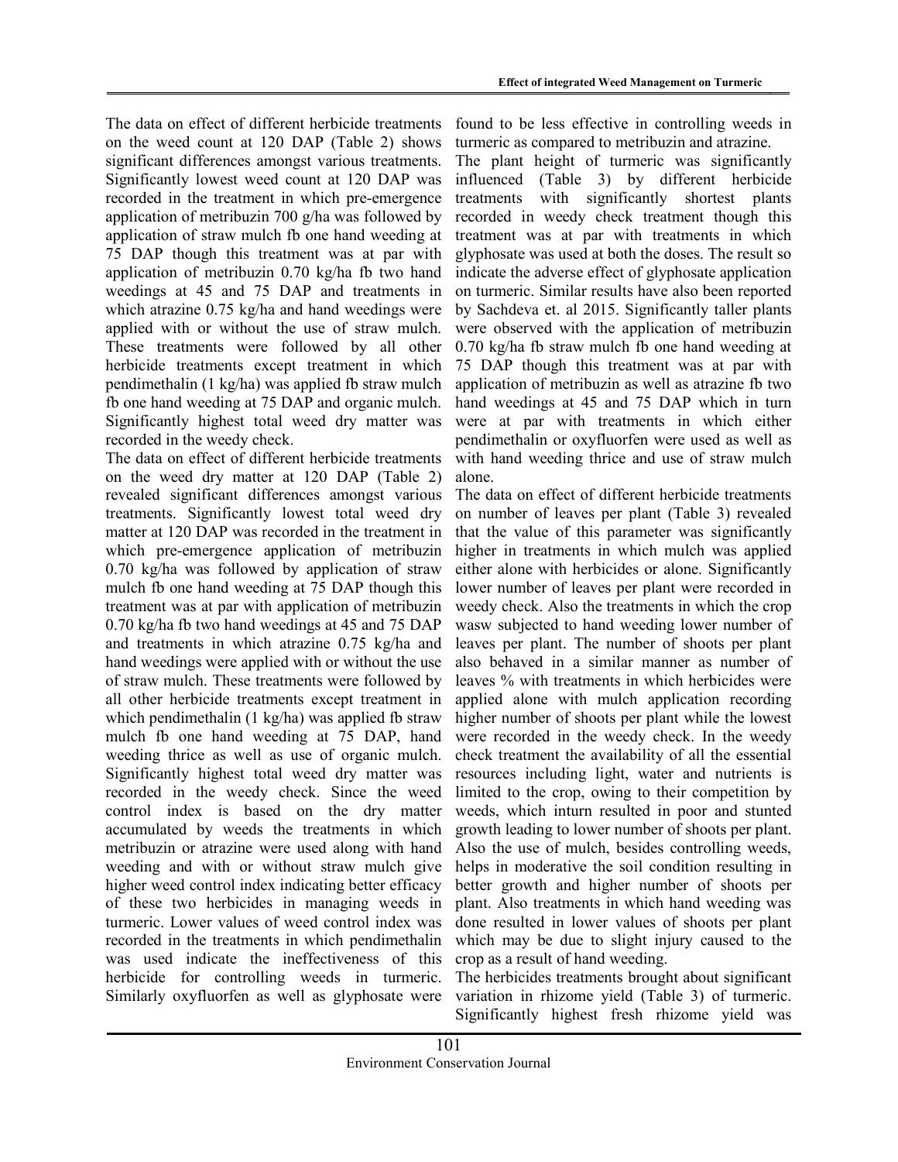The data on effect of different herbicide treatments on the weed count at 120 DAP (Table 2) shows significant differences amongst various treatments. Significantly lowest weed count at 120 DAP was recorded in the treatment in which pre-emergence application of metribuzin 700 g/ha was followed by application of straw mulch fb one hand weeding at 75 DAP though this treatment was at par with application of metribuzin 0.70 kg/ha fb two hand weedings at 45 and 75 DAP and treatments in which atrazine 0.75 kg/ha and hand weedings were applied with or without the use of straw mulch. These treatments were followed by all other herbicide treatments except treatment in which pendimethalin (1 kg/ha) was applied fb straw mulch fb one hand weeding at 75 DAP and organic mulch. Significantly highest total weed dry matter was recorded in the weedy check.

The data on effect of different herbicide treatments on the weed dry matter at 120 DAP (Table 2) revealed significant differences amongst various treatments. Significantly lowest total weed dry matter at 120 DAP was recorded in the treatment in which pre-emergence application of metribuzin 0.70 kg/ha was followed by application of straw mulch fb one hand weeding at 75 DAP though this treatment was at par with application of metribuzin 0.70 kg/ha fb two hand weedings at 45 and 75 DAP and treatments in which atrazine 0.75 kg/ha and hand weedings were applied with or without the use of straw mulch. These treatments were followed by all other herbicide treatments except treatment in which pendimethalin (1 kg/ha) was applied fb straw mulch fb one hand weeding at 75 DAP, hand weeding thrice as well as use of organic mulch. Significantly highest total weed dry matter was recorded in the weedy check. Since the weed control index is based on the dry matter accumulated by weeds the treatments in which metribuzin or atrazine were used along with hand weeding and with or without straw mulch give higher weed control index indicating better efficacy of these two herbicides in managing weeds in turmeric. Lower values of weed control index was recorded in the treatments in which pendimethalin was used indicate the ineffectiveness of this herbicide for controlling weeds in turmeric. Similarly oxyfluorfen as well as glyphosate were

found to be less effective in controlling weeds in turmeric as compared to metribuzin and atrazine.

The plant height of turmeric was significantly influenced (Table 3) by different herbicide treatments with significantly shortest plants recorded in weedy check treatment though this treatment was at par with treatments in which glyphosate was used at both the doses. The result so indicate the adverse effect of glyphosate application on turmeric. Similar results have also been reported by Sachdeva et. al 2015. Significantly taller plants were observed with the application of metribuzin 0.70 kg/ha fb straw mulch fb one hand weeding at 75 DAP though this treatment was at par with application of metribuzin as well as atrazine fb two hand weedings at 45 and 75 DAP which in turn were at par with treatments in which either pendimethalin or oxyfluorfen were used as well as with hand weeding thrice and use of straw mulch alone.

The data on effect of different herbicide treatments on number of leaves per plant (Table 3) revealed that the value of this parameter was significantly higher in treatments in which mulch was applied either alone with herbicides or alone. Significantly lower number of leaves per plant were recorded in weedy check. Also the treatments in which the crop wasw subjected to hand weeding lower number of leaves per plant. The number of shoots per plant also behaved in a similar manner as number of leaves % with treatments in which herbicides were applied alone with mulch application recording higher number of shoots per plant while the lowest were recorded in the weedy check. In the weedy check treatment the availability of all the essential resources including light, water and nutrients is limited to the crop, owing to their competition by weeds, which inturn resulted in poor and stunted growth leading to lower number of shoots per plant. Also the use of mulch, besides controlling weeds, helps in moderative the soil condition resulting in better growth and higher number of shoots per plant. Also treatments in which hand weeding was done resulted in lower values of shoots per plant which may be due to slight injury caused to the crop as a result of hand weeding.

The herbicides treatments brought about significant variation in rhizome yield (Table 3) of turmeric. Significantly highest fresh rhizome yield was